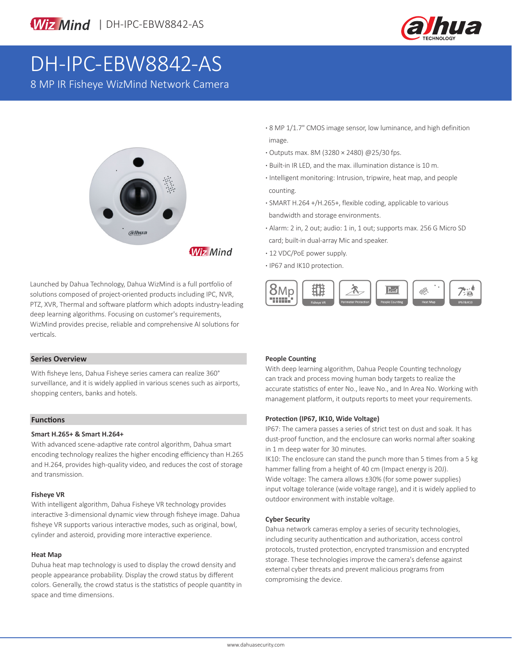



# DH-IPC-EBW8842-AS

8 MP IR Fisheye WizMind Network Camera



Launched by Dahua Technology, Dahua WizMind is a full portfolio of solutions composed of project-oriented products including IPC, NVR, PTZ, XVR, Thermal and software platform which adopts industry-leading deep learning algorithms. Focusing on customer's requirements, WizMind provides precise, reliable and comprehensive AI solutions for verticals.

#### **Series Overview**

With fisheye lens, Dahua Fisheye series camera can realize 360° surveillance, and it is widely applied in various scenes such as airports, shopping centers, banks and hotels.

#### **Functions**

#### **Smart H.265+ & Smart H.264+**

With advanced scene-adaptive rate control algorithm, Dahua smart encoding technology realizes the higher encoding efficiency than H.265 and H.264, provides high-quality video, and reduces the cost of storage and transmission.

#### **Fisheye VR**

With intelligent algorithm, Dahua Fisheye VR technology provides interactive 3-dimensional dynamic view through fisheye image. Dahua fisheye VR supports various interactive modes, such as original, bowl, cylinder and asteroid, providing more interactive experience.

#### **Heat Map**

Duhua heat map technology is used to display the crowd density and people appearance probability. Display the crowd status by different colors. Generally, the crowd status is the statistics of people quantity in space and time dimensions.

- **·** 8 MP 1/1.7" CMOS image sensor, low luminance, and high definition image.
- **·** Outputs max. 8M (3280 × 2480) @25/30 fps.
- **·** Built-in IR LED, and the max. illumination distance is 10 m.
- **·** Intelligent monitoring: Intrusion, tripwire, heat map, and people counting.
- **·** SMART H.264 +/H.265+, flexible coding, applicable to various bandwidth and storage environments.
- **·** Alarm: 2 in, 2 out; audio: 1 in, 1 out; supports max. 256 G Micro SD card; built-in dual-array Mic and speaker.
- **·** 12 VDC/PoE power supply.
- **·** IP67 and IK10 protection.



#### **People Counting**

With deep learning algorithm, Dahua People Counting technology can track and process moving human body targets to realize the accurate statistics of enter No., leave No., and In Area No. Working with management platform, it outputs reports to meet your requirements.

#### **Protection (IP67, IK10, Wide Voltage)**

IP67: The camera passes a series of strict test on dust and soak. It has dust-proof function, and the enclosure can works normal after soaking in 1 m deep water for 30 minutes.

IK10: The enclosure can stand the punch more than 5 times from a 5 kg hammer falling from a height of 40 cm (Impact energy is 20J). Wide voltage: The camera allows ±30% (for some power supplies) input voltage tolerance (wide voltage range), and it is widely applied to outdoor environment with instable voltage.

#### **Cyber Security**

Dahua network cameras employ a series of security technologies, including security authentication and authorization, access control protocols, trusted protection, encrypted transmission and encrypted storage. These technologies improve the camera's defense against external cyber threats and prevent malicious programs from compromising the device.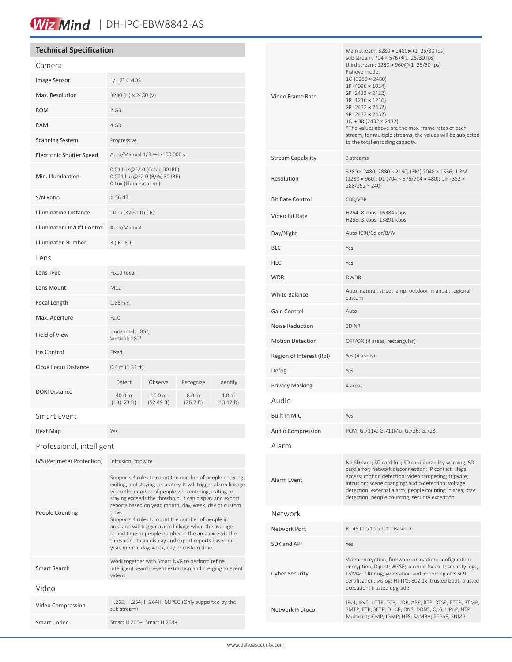# Wiz Mind | DH-IPC-EBW8842-AS

### **Technical Specification**

| Camera                          |                                                                                         |                      |                    |                     |
|---------------------------------|-----------------------------------------------------------------------------------------|----------------------|--------------------|---------------------|
| Image Sensor                    | 1/1.7" CMOS                                                                             |                      |                    |                     |
| Max. Resolution                 | 3280 (H) × 2480 (V)                                                                     |                      |                    |                     |
| <b>ROM</b>                      | 2 GB                                                                                    |                      |                    |                     |
| <b>RAM</b>                      | 4 GB                                                                                    |                      |                    |                     |
| <b>Scanning System</b>          | Progressive                                                                             |                      |                    |                     |
| <b>Electronic Shutter Speed</b> | Auto/Manual 1/3 s-1/100,000 s                                                           |                      |                    |                     |
| Min. Illumination               | 0.01 Lux@F2.0 (Color, 30 IRE)<br>0.001 Lux@F2.0 (B/W, 30 IRE)<br>0 Lux (Illuminator on) |                      |                    |                     |
| S/N Ratio                       | > 56 dB                                                                                 |                      |                    |                     |
| <b>Illumination Distance</b>    | 10 m (32.81 ft) (IR)                                                                    |                      |                    |                     |
| Illuminator On/Off Control      | Auto/Manual                                                                             |                      |                    |                     |
| <b>Illuminator Number</b>       | 3 (IR LED)                                                                              |                      |                    |                     |
| Lens                            |                                                                                         |                      |                    |                     |
| Lens Type                       | Fixed-focal                                                                             |                      |                    |                     |
| Lens Mount                      | M12                                                                                     |                      |                    |                     |
| Focal Length                    | 1.85mm                                                                                  |                      |                    |                     |
| Max. Aperture                   | F2.0                                                                                    |                      |                    |                     |
| <b>Field of View</b>            | Horizontal: 185°;<br>Vertical: 180°                                                     |                      |                    |                     |
| Iris Control                    | Fixed                                                                                   |                      |                    |                     |
| Close Focus Distance            | 0.4 m (1.31 ft)                                                                         |                      |                    |                     |
| <b>DORI Distance</b>            | Detect                                                                                  | Observe              | Recognize          | Identify            |
|                                 | 40.0 m<br>(131.23 ft)                                                                   | 16.0 m<br>(52.49 ft) | 8.0 m<br>(26.2 ft) | 4.0 m<br>(13.12 ft) |
| Smart Event                     |                                                                                         |                      |                    |                     |
| Heat Map                        | Yes                                                                                     |                      |                    |                     |
| Professional, intelligent       |                                                                                         |                      |                    |                     |

| IVS (Perimeter Protection) | Intrusion; tripwire                                                                                                                                                                                                                                                                                                                                                                                                                                                                                                                                                                          |
|----------------------------|----------------------------------------------------------------------------------------------------------------------------------------------------------------------------------------------------------------------------------------------------------------------------------------------------------------------------------------------------------------------------------------------------------------------------------------------------------------------------------------------------------------------------------------------------------------------------------------------|
| People Counting            | Supports 4 rules to count the number of people entering,<br>exiting, and staying separately. It will trigger alarm linkage<br>when the number of people who entering, exiting or<br>staying exceeds the threshold. It can display and export<br>reports based on year, month, day, week, day or custom<br>time.<br>Supports 4 rules to count the number of people in<br>area and will trigger alarm linkage when the average<br>strand time or people number in the area exceeds the<br>threshold. It can display and export reports based on<br>year, month, day, week, day or custom time. |
| Smart Search               | Work together with Smart NVR to perform refine<br>intelligent search, event extraction and merging to event<br>videos                                                                                                                                                                                                                                                                                                                                                                                                                                                                        |
| Video                      |                                                                                                                                                                                                                                                                                                                                                                                                                                                                                                                                                                                              |
| Video Compression          | H.265; H.264; H.264H; MJPEG (Only supported by the<br>sub stream)                                                                                                                                                                                                                                                                                                                                                                                                                                                                                                                            |
| <b>Smart Codec</b>         | Smart H.265+; Smart H.264+                                                                                                                                                                                                                                                                                                                                                                                                                                                                                                                                                                   |
|                            |                                                                                                                                                                                                                                                                                                                                                                                                                                                                                                                                                                                              |

| Video Frame Rate         | Main stream: $3280 \times 2480@(1-25/30$ fps)<br>sub stream: 704 × 576@(1-25/30 fps)<br>third stream: 1280 × 960@(1-25/30 fps)<br>Fisheye mode:<br>10 (3280 × 2480)<br>1P (4096 × 1024)<br>2P (2432 × 2432)<br>1R (1216 × 1216)<br>2R (2432 × 2432)<br>4R (2432 × 2432)<br>$10 + 3R (2432 \times 2432)$<br>*The values above are the max. frame rates of each<br>stream; for multiple streams, the values will be subjected<br>to the total encoding capacity. |  |
|--------------------------|----------------------------------------------------------------------------------------------------------------------------------------------------------------------------------------------------------------------------------------------------------------------------------------------------------------------------------------------------------------------------------------------------------------------------------------------------------------|--|
| Stream Capability        | 3 streams                                                                                                                                                                                                                                                                                                                                                                                                                                                      |  |
| Resolution               | 3280 × 2480; 2880 × 2160; (3M) 2048 × 1536; 1.3M<br>(1280 × 960); D1 (704 × 576/704 × 480); CIF (352 ×<br>288/352 × 240)                                                                                                                                                                                                                                                                                                                                       |  |
| <b>Bit Rate Control</b>  | CBR/VBR                                                                                                                                                                                                                                                                                                                                                                                                                                                        |  |
| Video Bit Rate           | H264: 8 kbps-16384 kbps<br>H265: 3 kbps-13891 kbps                                                                                                                                                                                                                                                                                                                                                                                                             |  |
| Day/Night                | Auto(ICR)/Color/B/W                                                                                                                                                                                                                                                                                                                                                                                                                                            |  |
| <b>BLC</b>               | Yes                                                                                                                                                                                                                                                                                                                                                                                                                                                            |  |
| HLC                      | Yes                                                                                                                                                                                                                                                                                                                                                                                                                                                            |  |
| WDR                      | <b>DWDR</b>                                                                                                                                                                                                                                                                                                                                                                                                                                                    |  |
| White Balance            | Auto; natural; street lamp; outdoor; manual; regional<br>custom                                                                                                                                                                                                                                                                                                                                                                                                |  |
| Gain Control             | Auto                                                                                                                                                                                                                                                                                                                                                                                                                                                           |  |
| Noise Reduction          | 3D NR                                                                                                                                                                                                                                                                                                                                                                                                                                                          |  |
| <b>Motion Detection</b>  | OFF/ON (4 areas, rectangular)                                                                                                                                                                                                                                                                                                                                                                                                                                  |  |
| Region of Interest (RoI) | Yes (4 areas)                                                                                                                                                                                                                                                                                                                                                                                                                                                  |  |
| Defog                    | Yes                                                                                                                                                                                                                                                                                                                                                                                                                                                            |  |
| Privacy Masking          | 4 areas                                                                                                                                                                                                                                                                                                                                                                                                                                                        |  |
| Audio                    |                                                                                                                                                                                                                                                                                                                                                                                                                                                                |  |
| Built-in MIC             | Yes                                                                                                                                                                                                                                                                                                                                                                                                                                                            |  |
| Audio Compression        | PCM; G.711A; G.711Mu; G.726; G.723                                                                                                                                                                                                                                                                                                                                                                                                                             |  |
| Alarm                    |                                                                                                                                                                                                                                                                                                                                                                                                                                                                |  |
| Alarm Event              | No SD card; SD card full; SD card durability warning; SD<br>card error; network disconnection; IP conflict; illegal<br>access; motion detection; video tampering; tripwire;<br>intrusion; scene changing; audio detection; voltage<br>detection; external alarm; people counting in area; stay<br>detection; people counting; security exception                                                                                                               |  |
| Network                  |                                                                                                                                                                                                                                                                                                                                                                                                                                                                |  |
| Network Port             | RJ-45 (10/100/1000 Base-T)                                                                                                                                                                                                                                                                                                                                                                                                                                     |  |
| SDK and API              | Yes                                                                                                                                                                                                                                                                                                                                                                                                                                                            |  |
| Cyber Security           | Video encryption; firmware encryption; configuration<br>encryption; Digest; WSSE; account lockout; security logs;<br>IP/MAC filtering; generation and importing of X.509<br>certification; syslog; HTTPS; 802.1x; trusted boot; trusted<br>execution; trusted upgrade                                                                                                                                                                                          |  |
| Network Protocol         | IPv4; IPv6; HTTP; TCP; UDP; ARP; RTP; RTSP; RTCP; RTMP;<br>SMTP; FTP; SFTP; DHCP; DNS; DDNS; QoS; UPnP; NTP;<br>Multicast; ICMP; IGMP; NFS; SAMBA; PPPoE; SNMP                                                                                                                                                                                                                                                                                                 |  |